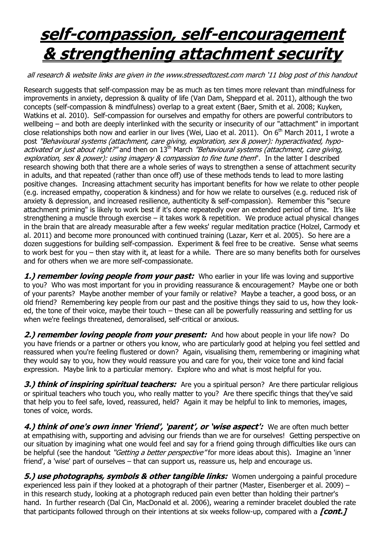## **self-compassion, self-encouragement & strengthening attachment security**

all research & website links are given in the www.stressedtozest.com march "11 blog post of this handout

Research suggests that self-compassion may be as much as ten times more relevant than mindfulness for improvements in anxiety, depression & quality of life (Van Dam, Sheppard et al. 2011), although the two concepts (self-compassion & mindfulness) overlap to a great extent (Baer, Smith et al. 2008; [Kuyken,](http://www.sciencedirect.com/science/article/B6V5W-50S8PPS-1/2/b7f90f23a7d5638a90087c53d8fe6c42)  [Watkins et al. 2010\)](http://www.sciencedirect.com/science/article/B6V5W-50S8PPS-1/2/b7f90f23a7d5638a90087c53d8fe6c42). Self-compassion for ourselves and empathy for others are powerful contributors to wellbeing – and both are deeply interlinked with the security or insecurity of our "attachment" in important close relationships both now and earlier in our lives [\(Wei, Liao et al. 2011\).](http://dx.doi.org/10.1111/j.1467-6494.2010.00677.x) On 6<sup>th</sup> March 2011, I wrote a post ["Behavioural systems \(attachment, care giving, exploration, sex & power\): hyperactivated, hypo](http://goodmedicine.org.uk/stressedtozest/2011/03/behavioural-systems-attachment-care-giving-exploration-sex-power-hyperactivat)[activated or just about right?"](http://goodmedicine.org.uk/stressedtozest/2011/03/behavioural-systems-attachment-care-giving-exploration-sex-power-hyperactivat) and then on  $13<sup>th</sup>$  March "Behavioural systems (attachment, care giving, [exploration, sex & power\): using imagery & compassion to fine tune them](http://goodmedicine.org.uk/stressedtozest/2011/03/behavioural-systems-attachment-care-giving-exploration-sex-power-using-imager)". In the latter I described research showing both that there are a whole series of ways to strengthen a sense of attachment security in adults, and that repeated (rather than once off) use of these methods tends to lead to more lasting positive changes. Increasing attachment security has important benefits for how we relate to other people (e.g. increased empathy, cooperation & kindness) and for how we relate to ourselves (e.g. reduced risk of anxiety & depression, and increased resilience, authenticity & self-compassion). Remember this "secure attachment priming" is likely to work best if it's done repeatedly over an extended period of time. It's like strengthening a muscle through exercise – it takes work & repetition. We produce actual physical changes in the brain that are already measurable after a few weeks' regular meditation practice [\(Holzel, Carmody et](http://www.sciencedirect.com/science/article/B6TBW-51F813Y-2/2/9b58b2e4bf3dc7a5422e04248ad51fb8)  [al. 2011\)](http://www.sciencedirect.com/science/article/B6TBW-51F813Y-2/2/9b58b2e4bf3dc7a5422e04248ad51fb8) and become more pronounced with continued training [\(Lazar, Kerr et al. 2005\).](http://journals.lww.com/neuroreport/Abstract/2005/11280/Meditation_experience_is_associated_with_increased.5.aspx) So here are a dozen suggestions for building self-compassion. Experiment & feel free to be creative. Sense what seems to work best for you – then stay with it, at least for a while. There are so many benefits both for ourselves and for others when we are more self-compassionate.

**1.) remember loving people from your past:** Who earlier in your life was loving and supportive to you? Who was most important for you in providing reassurance & encouragement? Maybe one or both of your parents? Maybe another member of your family or relative? Maybe a teacher, a good boss, or an old friend? Remembering key people from our past and the positive things they said to us, how they looked, the tone of their voice, maybe their touch – these can all be powerfully reassuring and settling for us when we're feelings threatened, demoralised, self-critical or anxious.

**2.) remember loving people from your present:** And how about people in your life now? Do you have friends or a partner or others you know, who are particularly good at helping you feel settled and reassured when you're feeling flustered or down? Again, visualising them, remembering or imagining what they would say to you, how they would reassure you and care for you, their voice tone and kind facial expression. Maybe link to a particular memory. Explore who and what is most helpful for you.

**3.) think of inspiring spiritual teachers:** Are you a spiritual person? Are there particular religious or spiritual teachers who touch you, who really matter to you? Are there specific things that they've said that help you to feel safe, loved, reassured, held? Again it may be helpful to link to memories, images, tones of voice, words.

**4.) think of one's own inner 'friend', 'parent', or 'wise aspect':** We are often much better at empathising with, supporting and advising our friends than we are for ourselves! Getting perspective on our situation by imagining what one would feel and say for a friend going through difficulties like ours can be helpful (see the handout "Getting a better perspective" for more ideas about this). Imagine an 'inner friend', a 'wise' part of ourselves – that can support us, reassure us, help and encourage us.

**5.) use photographs, symbols & other tangible links:** Women undergoing a painful procedure experienced less pain if they looked at a photograph of their partner [\(Master, Eisenberger et al. 2009\)](http://www.scn.ucla.edu/pdf/Master(InPress)PsychSci.pdf) – in this research study, looking at a photograph reduced pain even better than holding their partner's hand. In further research [\(Dal Cin, MacDonald et al. 2006\),](http://www.scn.ucla.edu/pdf/Master(InPress)PsychSci.pdf) wearing a reminder bracelet doubled the rate that participants followed through on their intentions at six weeks follow-up, compared with a **[cont.]**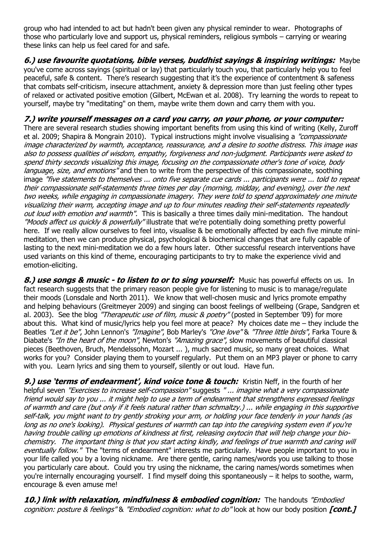group who had intended to act but hadn't been given any physical reminder to wear. Photographs of those who particularly love and support us, physical reminders, religious symbols – carrying or wearing these links can help us feel cared for and safe.

**6.) use favourite quotations, bible verses, buddhist sayings & inspiring writings:** Maybe you've come across sayings (spiritual or lay) that particularly touch you, that particularly help you to feel peaceful, safe & content. There"s research suggesting that it"s the experience of contentment & safeness that combats self-criticism, insecure attachment, anxiety & depression more than just feeling other types of relaxed or activated positive emotion [\(Gilbert, McEwan et al. 2008\).](http://www.informaworld.com/10.1080/17439760801999461) Try learning the words to repeat to yourself, maybe try "meditating" on them, maybe write them down and carry them with you.

## **7.) write yourself messages on a card you carry, on your phone, or your computer:**

There are several research studies showing important benefits from using this kind of writing [\(Kelly, Zuroff](https://webspace.utexas.edu/neffk/pubs/Zuroff%20self-soothing.pdf)  [et al. 2009;](https://webspace.utexas.edu/neffk/pubs/Zuroff%20self-soothing.pdf) [Shapira & Mongrain 2010\).](http://www.informaworld.com/10.1080/17439760.2010.516763) Typical instructions might involve visualising a "compassionate" image characterized by warmth, acceptance, reassurance, and a desire to soothe distress. This image was also to possess qualities of wisdom, empathy, forgiveness and non-judgment. Participants were asked to spend thirty seconds visualizing this image, focusing on the compassionate other's tone of voice, body language, size, and emotions" and then to write from the perspective of this compassionate, soothing image "five statements to themselves ... onto five separate cue cards ... participants were ... told to repeat their compassionate self-statements three times per day (morning, midday, and evening), over the next two weeks, while engaging in compassionate imagery. They were told to spend approximately one minute visualizing their warm, accepting image and up to four minutes reading their self-statements repeatedly out loud with emotion and warmth". This is basically a three times daily mini-meditation. The handout ["Moods affect us quickly & powerfully"](http://goodmedicine.org.uk/files/effects%20of%20our%20moods.PPT) illustrate that we're potentially doing something pretty powerful here. If we really allow ourselves to feel into, visualise & be emotionally affected by each five minute minimeditation, then we can produce physical, psychological & biochemical changes that are fully capable of lasting to the next mini-meditation we do a few hours later. Other successful research interventions have used variants on this kind of theme, encouraging participants to try to make the experience vivid and emotion-eliciting.

**8.) use songs & music - to listen to or to sing yourself:** Music has powerful effects on us. In fact research suggests that the primary reason people give for listening to music is to manage/regulate their moods [\(Lonsdale and North 2011\)](http://dx.doi.org/10.1348/000712610X506831). We know that well-chosen music and lyrics promote empathy and helping behaviours [\(Greitmeyer 2009\)](http://www.ncbi.nlm.nih.gov/entrez/query.fcgi?cmd=Retrieve&db=PubMed&dopt=Citation&list_uids=19648562) and singing can boost feelings of wellbeing [\(Grape, Sandgren et](http://www.ncbi.nlm.nih.gov/entrez/query.fcgi?cmd=Retrieve&db=PubMed&dopt=Citation&list_uids=12814197)  [al. 2003\).](http://www.ncbi.nlm.nih.gov/entrez/query.fcgi?cmd=Retrieve&db=PubMed&dopt=Citation&list_uids=12814197) See the blog ["Therapeutic use of film, music & poetry"](http://www.goodmedicine.org.uk/stressedtozest/2009/09/therapeutic-use-film-music-poetry) (posted in September '09) for more about this. What kind of music/lyrics help you feel more at peace? My choices date me – they include the Beatles ["Let it be"](http://www.google.co.uk/search?sourceid=ie7&q=beatles+let+it+be&rls=com.microsoft:en-gb:IE-SearchBox&ie=UTF-8&oe=UTF-8&rlz=1I7SMSN&redir_esc=&ei=-J6JTcv7PIywhQeG0I26Dg), John Lennon's ["Imagine"](http://www.google.co.uk/search?sourceid=ie7&q=john+lennon+imagine&rls=com.microsoft:en-gb:IE-SearchBox&ie=UTF-8&oe=UTF-8&rlz=1I7SMSN&redir_esc=&ei=J5-JTZLXJJOzhAf8tKWwDg), Bob Marley's ["One love"](http://www.google.co.uk/search?sourceid=ie7&q=marley+one+love&rls=com.microsoft:en-gb:IE-SearchBox&ie=UTF-8&oe=UTF-8&rlz=1I7SMSN&redir_esc=&ei=v56JTYGpGoOYhQez1Ji-Dg) & ["Three little birds"](http://www.google.co.uk/search?sourceid=ie7&q=marley+three+little+birds&rls=com.microsoft:en-gb:IE-SearchBox&ie=UTF-8&oe=UTF-8&rlz=1I7SMSN&redir_esc=&ei=fJ6JTbjBIpKahQfZ5LykDg), Farka Toure & Diabate's ["In the heart of the moon"](http://www.google.co.uk/search?sourceid=ie7&q=toumani+diabate+in+the+heart+of+the+moon&rls=com.microsoft:en-gb:IE-SearchBox&ie=UTF-8&oe=UTF-8&rlz=1I7SMSN&redir_esc=&ei=uCuLTfeFJIW4hAfI2LWkDg), Newton's ["Amazing grace"](http://en.wikipedia.org/wiki/Amazing_Grace), slow movements of beautiful classical pieces (Beethoven, Bruch, Mendelssohn, Mozart ... ), much sacred music, so many great choices. What works for you? Consider playing them to yourself regularly. Put them on an MP3 player or phone to carry with you. Learn lyrics and sing them to yourself, silently or out loud. Have fun.

**9.) use 'terms of endearment', kind voice tone & touch:** Kristin Neff, in the fourth of her helpful seven ["Exercises to increase self-compassion"](http://www.self-compassion.org/index.html) suggests " ... imagine what a very compassionate friend would say to you ... it might help to use a term of endearment that strengthens expressed feelings of warmth and care (but only if it feels natural rather than schmaltzy.) ... while engaging in this supportive self-talk, you might want to try gently stroking your arm, or holding your face tenderly in your hands (as long as no one's looking). Physical gestures of warmth can tap into the caregiving system even if you're having trouble calling up emotions of kindness at first, releasing oxytocin that will help change your biochemistry. The important thing is that you start acting kindly, and feelings of true warmth and caring will eventually follow." The "terms of endearment" interests me particularly. Have people important to you in your life called you by a loving nickname. Are there gentle, caring names/words you use talking to those you particularly care about. Could you try using the nickname, the caring names/words sometimes when you're internally encouraging yourself. I find myself doing this spontaneously – it helps to soothe, warm, encourage & even amuse me!

**10.) link with relaxation, mindfulness & embodied cognition:** The handouts ["Embodied](http://www.goodmedicine.org.uk/stressedtozest/2011/02/embodied-cognition-posture-feelings)  [cognition: posture & feelings"](http://www.goodmedicine.org.uk/stressedtozest/2011/02/embodied-cognition-posture-feelings) & ["Embodied cognition: what to do"](http://www.goodmedicine.org.uk/stressedtozest/2011/02/embodied-cognition-what-do) look at how our body position **[cont.]**